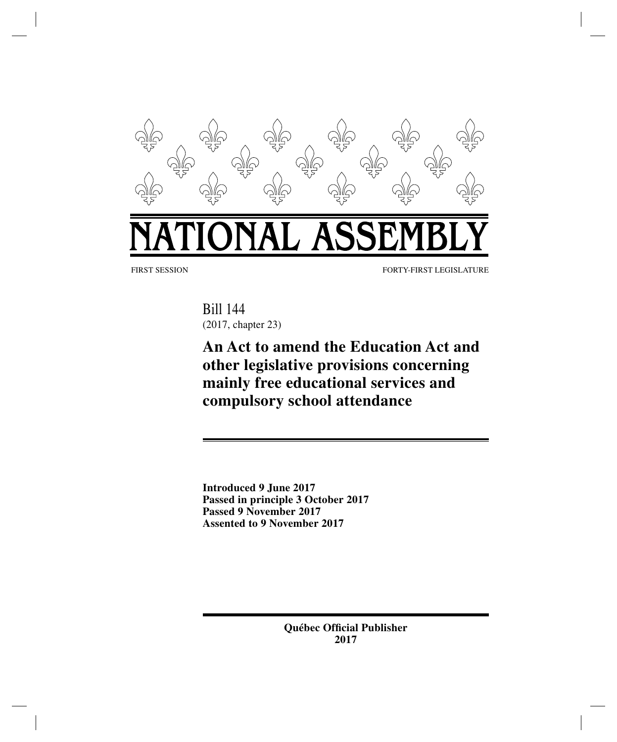

FIRST SESSION FORTY-FIRST LEGISLATURE

Bill 144 (2017, chapter 23)

**An Act to amend the Education Act and other legislative provisions concerning mainly free educational services and compulsory school attendance**

**Introduced 9 June 2017 Passed in principle 3 October 2017 Passed 9 November 2017 Assented to 9 November 2017**

> **Québec Official Publisher 2017**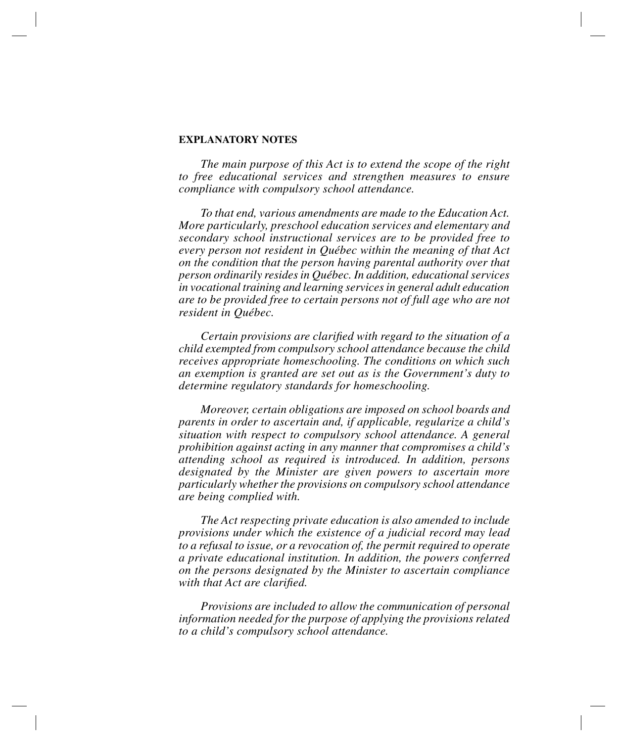#### **EXPLANATORY NOTES**

*The main purpose of this Act is to extend the scope of the right to free educational services and strengthen measures to ensure compliance with compulsory school attendance.*

*To that end, various amendments are made to the Education Act. More particularly, preschool education services and elementary and secondary school instructional services are to be provided free to every person not resident in Québec within the meaning of that Act on the condition that the person having parental authority over that person ordinarily resides in Québec. In addition, educational services in vocational training and learning services in general adult education are to be provided free to certain persons not of full age who are not resident in Québec.*

*Certain provisions are clarified with regard to the situation of a child exempted from compulsory school attendance because the child receives appropriate homeschooling. The conditions on which such an exemption is granted are set out as is the Government's duty to determine regulatory standards for homeschooling.*

*Moreover, certain obligations are imposed on school boards and parents in order to ascertain and, if applicable, regularize a child's situation with respect to compulsory school attendance. A general prohibition against acting in any manner that compromises a child's attending school as required is introduced. In addition, persons designated by the Minister are given powers to ascertain more particularly whether the provisions on compulsory school attendance are being complied with.*

*The Act respecting private education is also amended to include provisions under which the existence of a judicial record may lead to a refusal to issue, or a revocation of, the permit required to operate a private educational institution. In addition, the powers conferred on the persons designated by the Minister to ascertain compliance with that Act are clarified.*

*Provisions are included to allow the communication of personal information needed for the purpose of applying the provisions related to a child's compulsory school attendance.*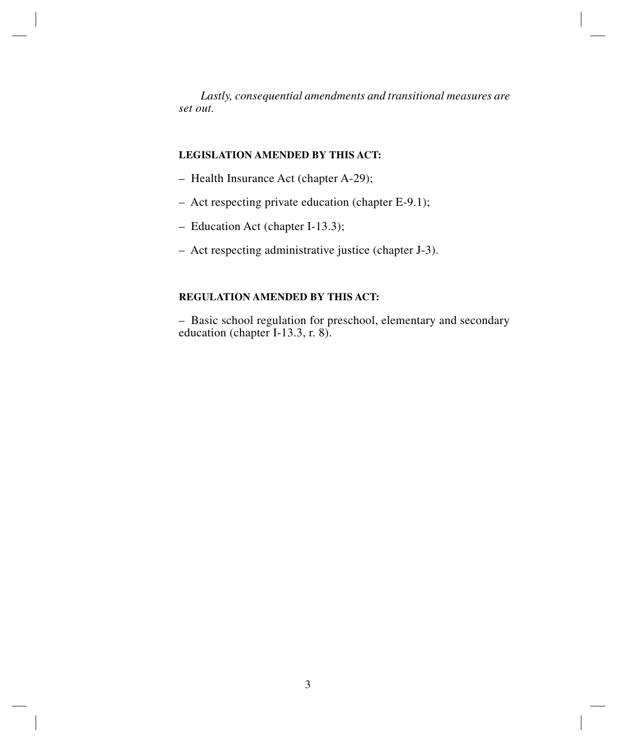*Lastly, consequential amendments and transitional measures are set out.*

# **LEGISLATION AMENDED BY THIS ACT:**

- Health Insurance Act (chapter A-29);
- Act respecting private education (chapter E-9.1);
- Education Act (chapter I-13.3);
- Act respecting administrative justice (chapter J-3).

# **REGULATION AMENDED BY THIS ACT:**

– Basic school regulation for preschool, elementary and secondary education (chapter I-13.3, r. 8).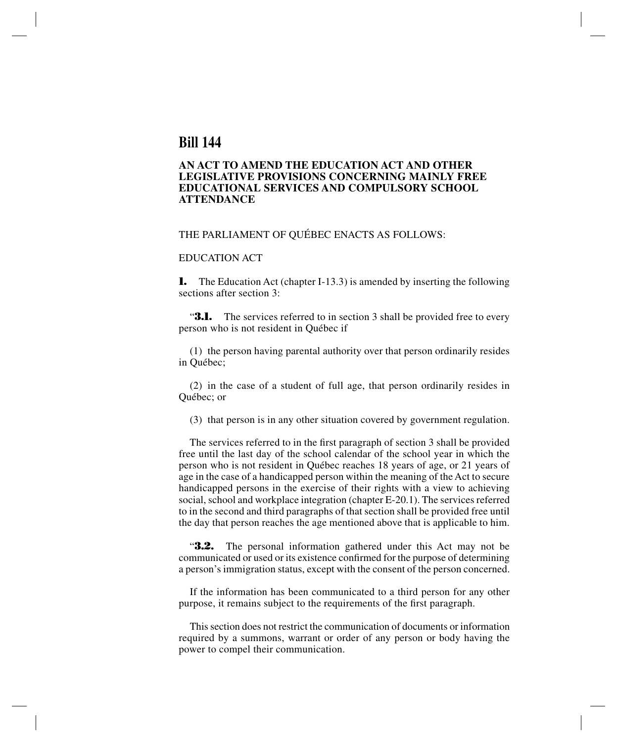# **Bill 144**

## **AN ACT TO AMEND THE EDUCATION ACT AND OTHER LEGISLATIVE PROVISIONS CONCERNING MAINLY FREE EDUCATIONAL SERVICES AND COMPULSORY SCHOOL ATTENDANCE**

#### THE PARLIAMENT OF QUÉBEC ENACTS AS FOLLOWS:

## EDUCATION ACT

**1.** The Education Act (chapter I-13.3) is amended by inserting the following sections after section 3:

**3.1.** The services referred to in section 3 shall be provided free to every person who is not resident in Québec if

(1) the person having parental authority over that person ordinarily resides in Québec;

(2) in the case of a student of full age, that person ordinarily resides in Québec; or

(3) that person is in any other situation covered by government regulation.

The services referred to in the first paragraph of section 3 shall be provided free until the last day of the school calendar of the school year in which the person who is not resident in Québec reaches 18 years of age, or 21 years of age in the case of a handicapped person within the meaning of the Act to secure handicapped persons in the exercise of their rights with a view to achieving social, school and workplace integration (chapter E-20.1). The services referred to in the second and third paragraphs of that section shall be provided free until the day that person reaches the age mentioned above that is applicable to him.

"**3.2.** The personal information gathered under this Act may not be communicated or used or its existence confirmed for the purpose of determining a person's immigration status, except with the consent of the person concerned.

If the information has been communicated to a third person for any other purpose, it remains subject to the requirements of the first paragraph.

This section does not restrict the communication of documents or information required by a summons, warrant or order of any person or body having the power to compel their communication.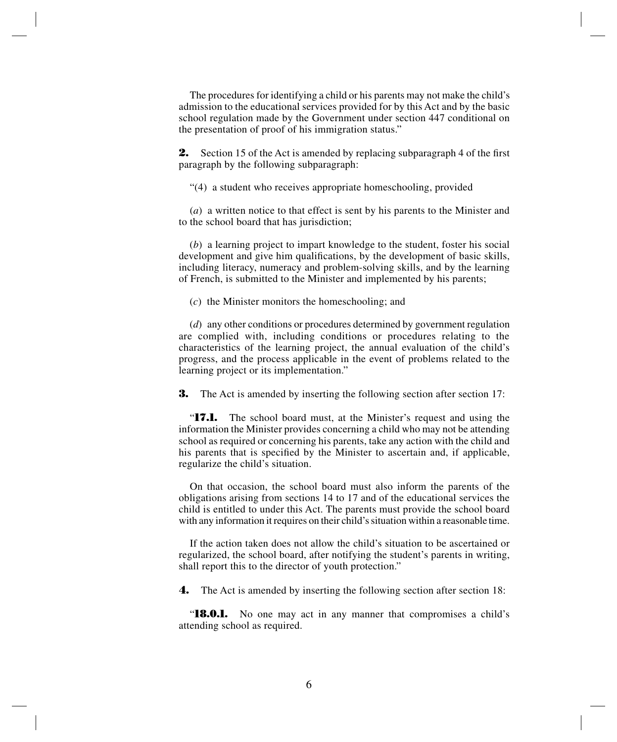The procedures for identifying a child or his parents may not make the child's admission to the educational services provided for by this Act and by the basic school regulation made by the Government under section 447 conditional on the presentation of proof of his immigration status."

**2.** Section 15 of the Act is amended by replacing subparagraph 4 of the first paragraph by the following subparagraph:

"(4) a student who receives appropriate homeschooling, provided

(*a*) a written notice to that effect is sent by his parents to the Minister and to the school board that has jurisdiction;

(*b*) a learning project to impart knowledge to the student, foster his social development and give him qualifications, by the development of basic skills, including literacy, numeracy and problem-solving skills, and by the learning of French, is submitted to the Minister and implemented by his parents;

(*c*) the Minister monitors the homeschooling; and

(*d*) any other conditions or procedures determined by government regulation are complied with, including conditions or procedures relating to the characteristics of the learning project, the annual evaluation of the child's progress, and the process applicable in the event of problems related to the learning project or its implementation."

**3.** The Act is amended by inserting the following section after section 17:

"**17.1.** The school board must, at the Minister's request and using the information the Minister provides concerning a child who may not be attending school as required or concerning his parents, take any action with the child and his parents that is specified by the Minister to ascertain and, if applicable, regularize the child's situation.

On that occasion, the school board must also inform the parents of the obligations arising from sections 14 to 17 and of the educational services the child is entitled to under this Act. The parents must provide the school board with any information it requires on their child's situation within a reasonable time.

If the action taken does not allow the child's situation to be ascertained or regularized, the school board, after notifying the student's parents in writing, shall report this to the director of youth protection."

**4.** The Act is amended by inserting the following section after section 18:

"**18.0.1.** No one may act in any manner that compromises a child's attending school as required.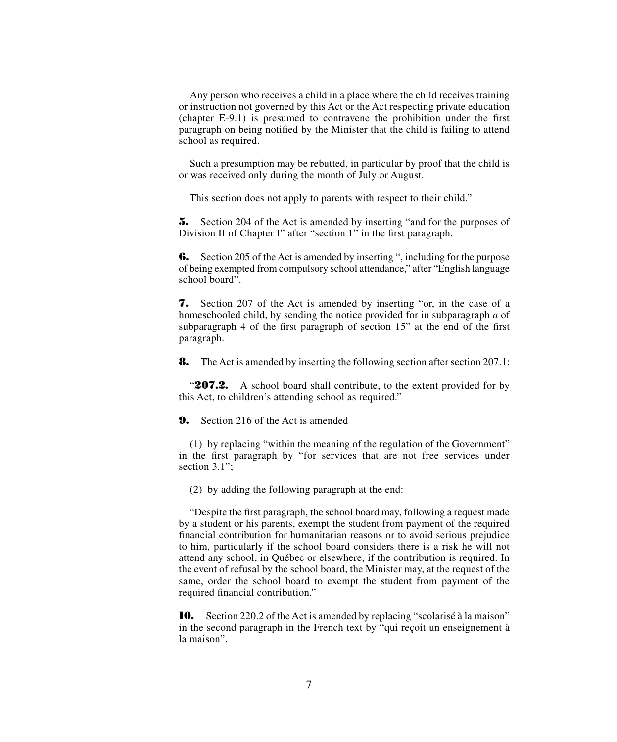Any person who receives a child in a place where the child receives training or instruction not governed by this Act or the Act respecting private education (chapter E-9.1) is presumed to contravene the prohibition under the first paragraph on being notified by the Minister that the child is failing to attend school as required.

Such a presumption may be rebutted, in particular by proof that the child is or was received only during the month of July or August.

This section does not apply to parents with respect to their child."

**5.** Section 204 of the Act is amended by inserting "and for the purposes of Division II of Chapter I" after "section 1" in the first paragraph.

**6.** Section 205 of the Act is amended by inserting ", including for the purpose of being exempted from compulsory school attendance," after "English language school board".

**7.** Section 207 of the Act is amended by inserting "or, in the case of a homeschooled child, by sending the notice provided for in subparagraph *a* of subparagraph 4 of the first paragraph of section 15" at the end of the first paragraph.

**8.** The Act is amended by inserting the following section after section 207.1:

"**207.2.** A school board shall contribute, to the extent provided for by this Act, to children's attending school as required."

**9.** Section 216 of the Act is amended

(1) by replacing "within the meaning of the regulation of the Government" in the first paragraph by "for services that are not free services under section 3.1":

(2) by adding the following paragraph at the end:

"Despite the first paragraph, the school board may, following a request made by a student or his parents, exempt the student from payment of the required financial contribution for humanitarian reasons or to avoid serious prejudice to him, particularly if the school board considers there is a risk he will not attend any school, in Québec or elsewhere, if the contribution is required. In the event of refusal by the school board, the Minister may, at the request of the same, order the school board to exempt the student from payment of the required financial contribution."

**10.** Section 220.2 of the Act is amended by replacing "scolarisé à la maison" in the second paragraph in the French text by "qui reçoit un enseignement à la maison".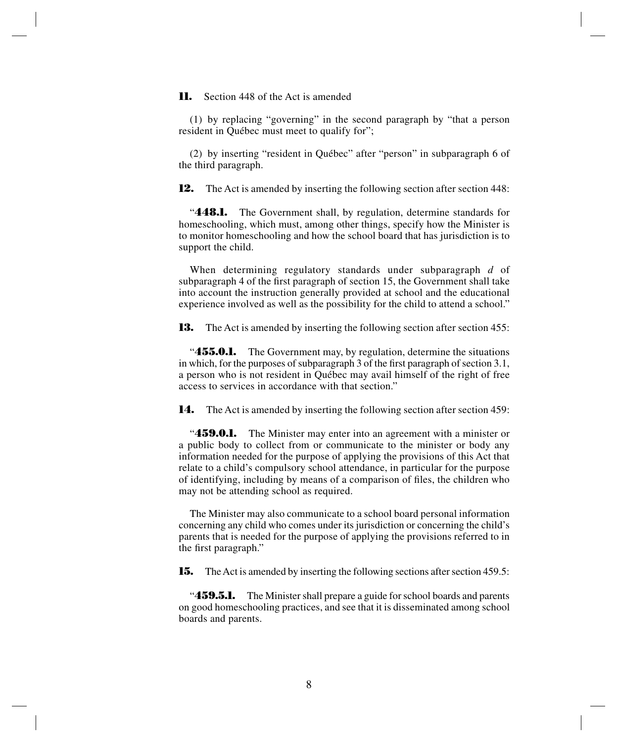**11.** Section 448 of the Act is amended

(1) by replacing "governing" in the second paragraph by "that a person resident in Québec must meet to qualify for";

(2) by inserting "resident in Québec" after "person" in subparagraph 6 of the third paragraph.

**12.** The Act is amended by inserting the following section after section 448:

"**448.1.** The Government shall, by regulation, determine standards for homeschooling, which must, among other things, specify how the Minister is to monitor homeschooling and how the school board that has jurisdiction is to support the child.

When determining regulatory standards under subparagraph *d* of subparagraph 4 of the first paragraph of section 15, the Government shall take into account the instruction generally provided at school and the educational experience involved as well as the possibility for the child to attend a school."

**13.** The Act is amended by inserting the following section after section 455:

**455.0.1.** The Government may, by regulation, determine the situations in which, for the purposes of subparagraph 3 of the first paragraph of section 3.1, a person who is not resident in Québec may avail himself of the right of free access to services in accordance with that section."

**14.** The Act is amended by inserting the following section after section 459:

"**459.0.1.** The Minister may enter into an agreement with a minister or a public body to collect from or communicate to the minister or body any information needed for the purpose of applying the provisions of this Act that relate to a child's compulsory school attendance, in particular for the purpose of identifying, including by means of a comparison of files, the children who may not be attending school as required.

The Minister may also communicate to a school board personal information concerning any child who comes under its jurisdiction or concerning the child's parents that is needed for the purpose of applying the provisions referred to in the first paragraph."

**15.** The Act is amended by inserting the following sections after section 459.5:

"**459.5.1.** The Minister shall prepare a guide for school boards and parents on good homeschooling practices, and see that it is disseminated among school boards and parents.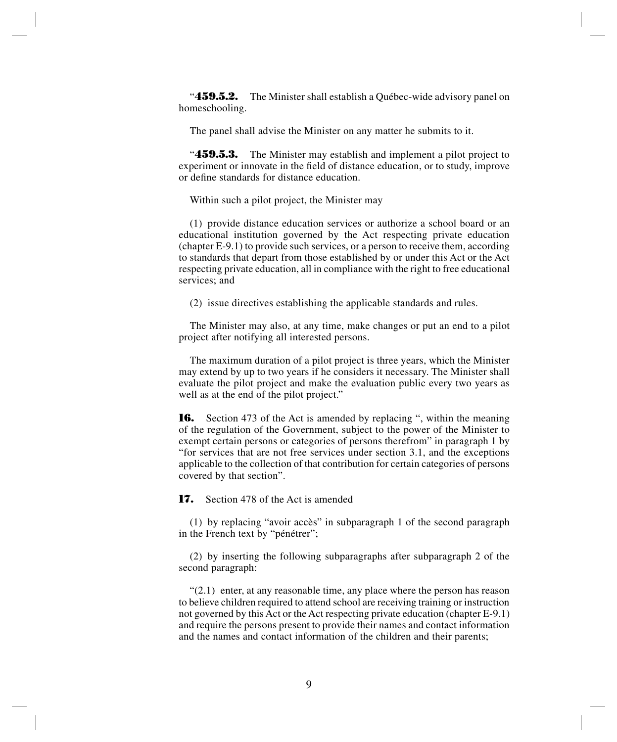"**459.5.2.** The Minister shall establish a Québec-wide advisory panel on homeschooling.

The panel shall advise the Minister on any matter he submits to it.

"**459.5.3.** The Minister may establish and implement a pilot project to experiment or innovate in the field of distance education, or to study, improve or define standards for distance education.

Within such a pilot project, the Minister may

(1) provide distance education services or authorize a school board or an educational institution governed by the Act respecting private education (chapter E-9.1) to provide such services, or a person to receive them, according to standards that depart from those established by or under this Act or the Act respecting private education, all in compliance with the right to free educational services; and

(2) issue directives establishing the applicable standards and rules.

The Minister may also, at any time, make changes or put an end to a pilot project after notifying all interested persons.

The maximum duration of a pilot project is three years, which the Minister may extend by up to two years if he considers it necessary. The Minister shall evaluate the pilot project and make the evaluation public every two years as well as at the end of the pilot project."

**16.** Section 473 of the Act is amended by replacing ", within the meaning of the regulation of the Government, subject to the power of the Minister to exempt certain persons or categories of persons therefrom" in paragraph 1 by "for services that are not free services under section 3.1, and the exceptions applicable to the collection of that contribution for certain categories of persons covered by that section".

**17.** Section 478 of the Act is amended

(1) by replacing "avoir accès" in subparagraph 1 of the second paragraph in the French text by "pénétrer";

(2) by inserting the following subparagraphs after subparagraph 2 of the second paragraph:

 $(2.1)$  enter, at any reasonable time, any place where the person has reason to believe children required to attend school are receiving training or instruction not governed by this Act or the Act respecting private education (chapter E-9.1) and require the persons present to provide their names and contact information and the names and contact information of the children and their parents;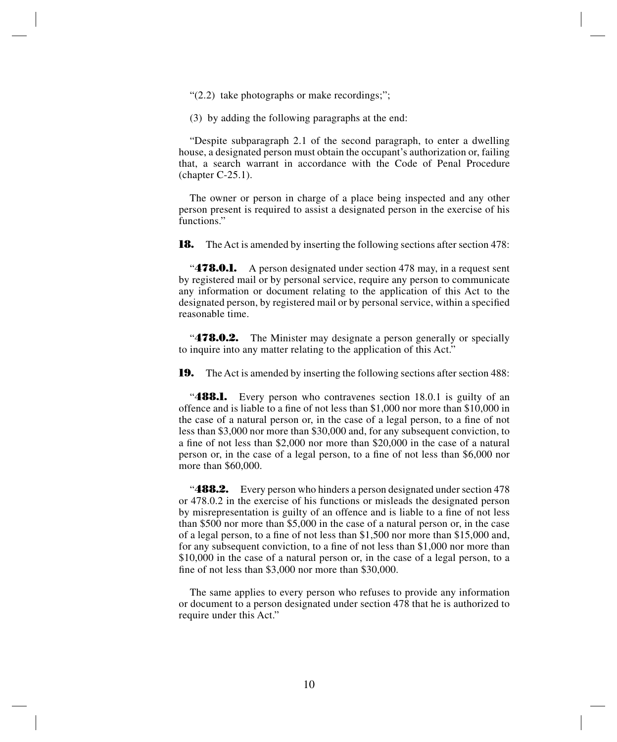"(2.2) take photographs or make recordings;";

(3) by adding the following paragraphs at the end:

"Despite subparagraph 2.1 of the second paragraph, to enter a dwelling house, a designated person must obtain the occupant's authorization or, failing that, a search warrant in accordance with the Code of Penal Procedure (chapter C-25.1).

The owner or person in charge of a place being inspected and any other person present is required to assist a designated person in the exercise of his functions."

**18.** The Act is amended by inserting the following sections after section 478:

**478.0.1.** A person designated under section 478 may, in a request sent by registered mail or by personal service, require any person to communicate any information or document relating to the application of this Act to the designated person, by registered mail or by personal service, within a specified reasonable time.

"**478.0.2.** The Minister may designate a person generally or specially to inquire into any matter relating to the application of this Act."

**19.** The Act is amended by inserting the following sections after section 488:

**488.1.** Every person who contravenes section 18.0.1 is guilty of an offence and is liable to a fine of not less than \$1,000 nor more than \$10,000 in the case of a natural person or, in the case of a legal person, to a fine of not less than \$3,000 nor more than \$30,000 and, for any subsequent conviction, to a fine of not less than \$2,000 nor more than \$20,000 in the case of a natural person or, in the case of a legal person, to a fine of not less than \$6,000 nor more than \$60,000.

**488.2.** Every person who hinders a person designated under section 478 or 478.0.2 in the exercise of his functions or misleads the designated person by misrepresentation is guilty of an offence and is liable to a fine of not less than \$500 nor more than \$5,000 in the case of a natural person or, in the case of a legal person, to a fine of not less than \$1,500 nor more than \$15,000 and, for any subsequent conviction, to a fine of not less than \$1,000 nor more than \$10,000 in the case of a natural person or, in the case of a legal person, to a fine of not less than \$3,000 nor more than \$30,000.

The same applies to every person who refuses to provide any information or document to a person designated under section 478 that he is authorized to require under this Act."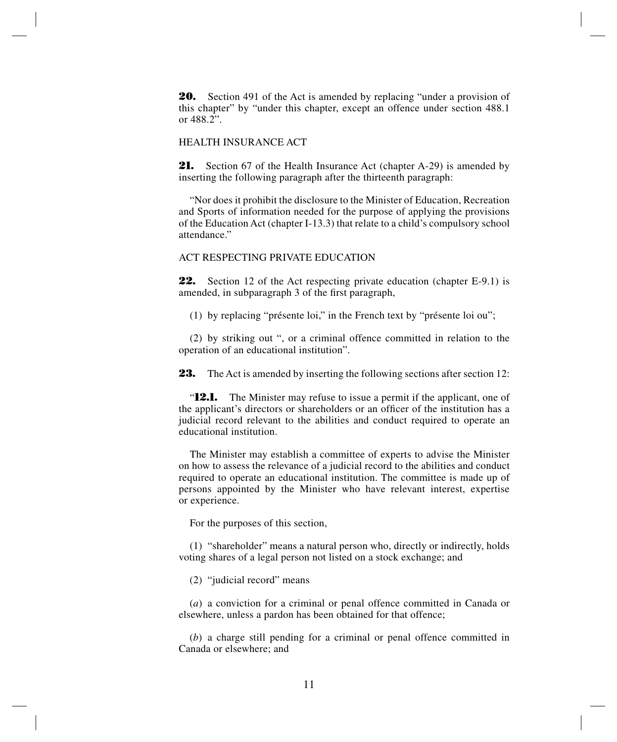**20.** Section 491 of the Act is amended by replacing "under a provision of this chapter" by "under this chapter, except an offence under section 488.1 or 488.2".

#### HEALTH INSURANCE ACT

**21.** Section 67 of the Health Insurance Act (chapter A-29) is amended by inserting the following paragraph after the thirteenth paragraph:

"Nor does it prohibit the disclosure to the Minister of Education, Recreation and Sports of information needed for the purpose of applying the provisions of the Education Act (chapter I-13.3) that relate to a child's compulsory school attendance."

#### ACT RESPECTING PRIVATE EDUCATION

**22.** Section 12 of the Act respecting private education (chapter E-9.1) is amended, in subparagraph 3 of the first paragraph,

(1) by replacing "présente loi," in the French text by "présente loi ou";

(2) by striking out ", or a criminal offence committed in relation to the operation of an educational institution".

**23.** The Act is amended by inserting the following sections after section 12:

"**12.1.** The Minister may refuse to issue a permit if the applicant, one of the applicant's directors or shareholders or an officer of the institution has a judicial record relevant to the abilities and conduct required to operate an educational institution.

The Minister may establish a committee of experts to advise the Minister on how to assess the relevance of a judicial record to the abilities and conduct required to operate an educational institution. The committee is made up of persons appointed by the Minister who have relevant interest, expertise or experience.

For the purposes of this section,

(1) "shareholder" means a natural person who, directly or indirectly, holds voting shares of a legal person not listed on a stock exchange; and

(2) "judicial record" means

(*a*) a conviction for a criminal or penal offence committed in Canada or elsewhere, unless a pardon has been obtained for that offence;

(*b*) a charge still pending for a criminal or penal offence committed in Canada or elsewhere; and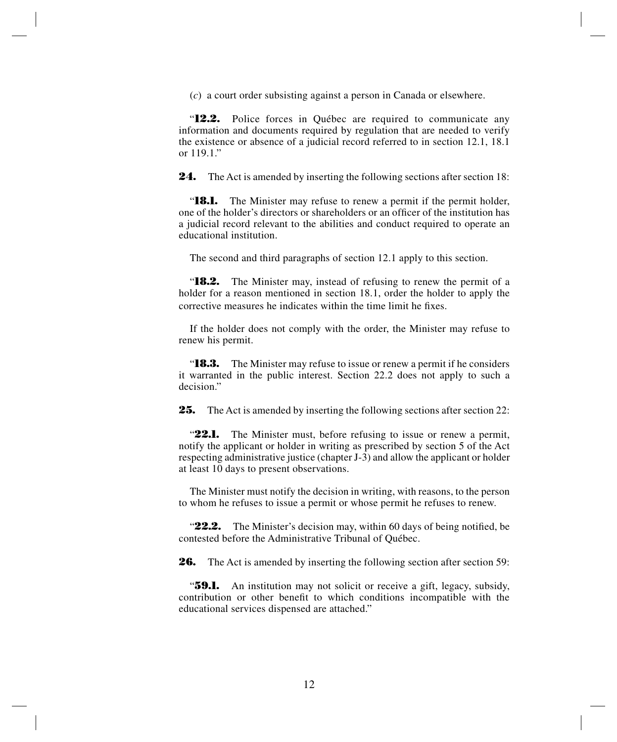(*c*) a court order subsisting against a person in Canada or elsewhere.

"**12.2.** Police forces in Québec are required to communicate any information and documents required by regulation that are needed to verify the existence or absence of a judicial record referred to in section 12.1, 18.1 or 119.1."

**24.** The Act is amended by inserting the following sections after section 18:

"**18.1.** The Minister may refuse to renew a permit if the permit holder, one of the holder's directors or shareholders or an officer of the institution has a judicial record relevant to the abilities and conduct required to operate an educational institution.

The second and third paragraphs of section 12.1 apply to this section.

"**18.2.** The Minister may, instead of refusing to renew the permit of a holder for a reason mentioned in section 18.1, order the holder to apply the corrective measures he indicates within the time limit he fixes.

If the holder does not comply with the order, the Minister may refuse to renew his permit.

"**18.3.** The Minister may refuse to issue or renew a permit if he considers it warranted in the public interest. Section 22.2 does not apply to such a decision."

**25.** The Act is amended by inserting the following sections after section 22:

"22.1. The Minister must, before refusing to issue or renew a permit, notify the applicant or holder in writing as prescribed by section 5 of the Act respecting administrative justice (chapter J-3) and allow the applicant or holder at least 10 days to present observations.

The Minister must notify the decision in writing, with reasons, to the person to whom he refuses to issue a permit or whose permit he refuses to renew.

"**22.2.** The Minister's decision may, within 60 days of being notified, be contested before the Administrative Tribunal of Québec.

**26.** The Act is amended by inserting the following section after section 59:

"**59.1.** An institution may not solicit or receive a gift, legacy, subsidy, contribution or other benefit to which conditions incompatible with the educational services dispensed are attached."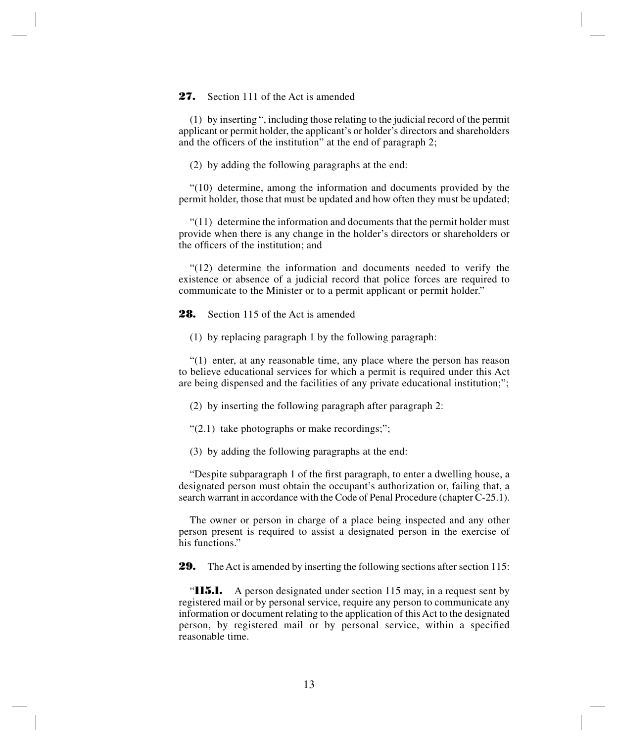#### 27. Section 111 of the Act is amended

(1) by inserting ", including those relating to the judicial record of the permit applicant or permit holder, the applicant's or holder's directors and shareholders and the officers of the institution" at the end of paragraph 2;

(2) by adding the following paragraphs at the end:

"(10) determine, among the information and documents provided by the permit holder, those that must be updated and how often they must be updated;

 $(11)$  determine the information and documents that the permit holder must provide when there is any change in the holder's directors or shareholders or the officers of the institution; and

"(12) determine the information and documents needed to verify the existence or absence of a judicial record that police forces are required to communicate to the Minister or to a permit applicant or permit holder."

**28.** Section 115 of the Act is amended

(1) by replacing paragraph 1 by the following paragraph:

"(1) enter, at any reasonable time, any place where the person has reason to believe educational services for which a permit is required under this Act are being dispensed and the facilities of any private educational institution;";

(2) by inserting the following paragraph after paragraph 2:

"(2.1) take photographs or make recordings;";

(3) by adding the following paragraphs at the end:

"Despite subparagraph 1 of the first paragraph, to enter a dwelling house, a designated person must obtain the occupant's authorization or, failing that, a search warrant in accordance with the Code of Penal Procedure (chapter C-25.1).

The owner or person in charge of a place being inspected and any other person present is required to assist a designated person in the exercise of his functions."

**29.** The Act is amended by inserting the following sections after section 115:

"**115.1.** A person designated under section 115 may, in a request sent by registered mail or by personal service, require any person to communicate any information or document relating to the application of this Act to the designated person, by registered mail or by personal service, within a specified reasonable time.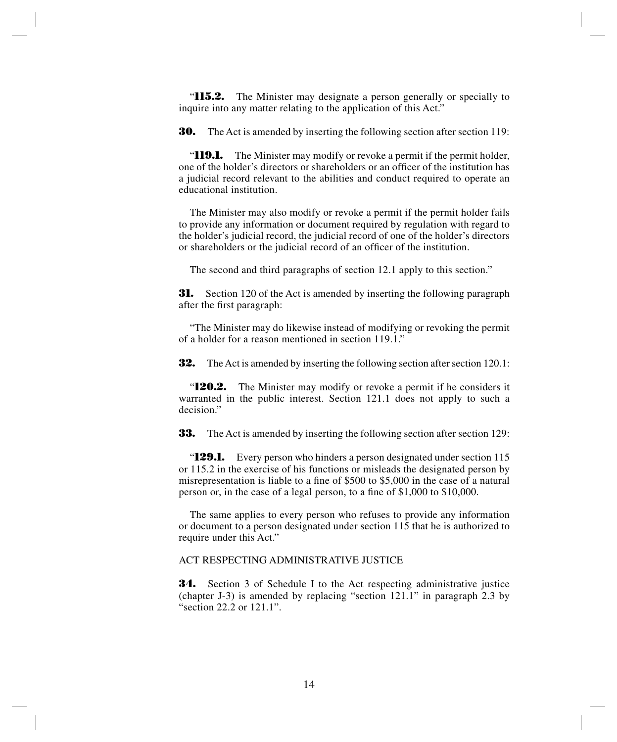"**115.2.** The Minister may designate a person generally or specially to inquire into any matter relating to the application of this Act."

**30.** The Act is amended by inserting the following section after section 119:

"**119.1.** The Minister may modify or revoke a permit if the permit holder, one of the holder's directors or shareholders or an officer of the institution has a judicial record relevant to the abilities and conduct required to operate an educational institution.

The Minister may also modify or revoke a permit if the permit holder fails to provide any information or document required by regulation with regard to the holder's judicial record, the judicial record of one of the holder's directors or shareholders or the judicial record of an officer of the institution.

The second and third paragraphs of section 12.1 apply to this section."

**31.** Section 120 of the Act is amended by inserting the following paragraph after the first paragraph:

"The Minister may do likewise instead of modifying or revoking the permit of a holder for a reason mentioned in section 119.1."

**32.** The Act is amended by inserting the following section after section 120.1:

"**120.2.** The Minister may modify or revoke a permit if he considers it warranted in the public interest. Section 121.1 does not apply to such a decision."

**33.** The Act is amended by inserting the following section after section 129:

"**129.1.** Every person who hinders a person designated under section 115 or 115.2 in the exercise of his functions or misleads the designated person by misrepresentation is liable to a fine of \$500 to \$5,000 in the case of a natural person or, in the case of a legal person, to a fine of \$1,000 to \$10,000.

The same applies to every person who refuses to provide any information or document to a person designated under section 115 that he is authorized to require under this Act."

#### ACT RESPECTING ADMINISTRATIVE JUSTICE

**34.** Section 3 of Schedule I to the Act respecting administrative justice (chapter J-3) is amended by replacing "section 121.1" in paragraph 2.3 by "section 22.2 or 121.1".